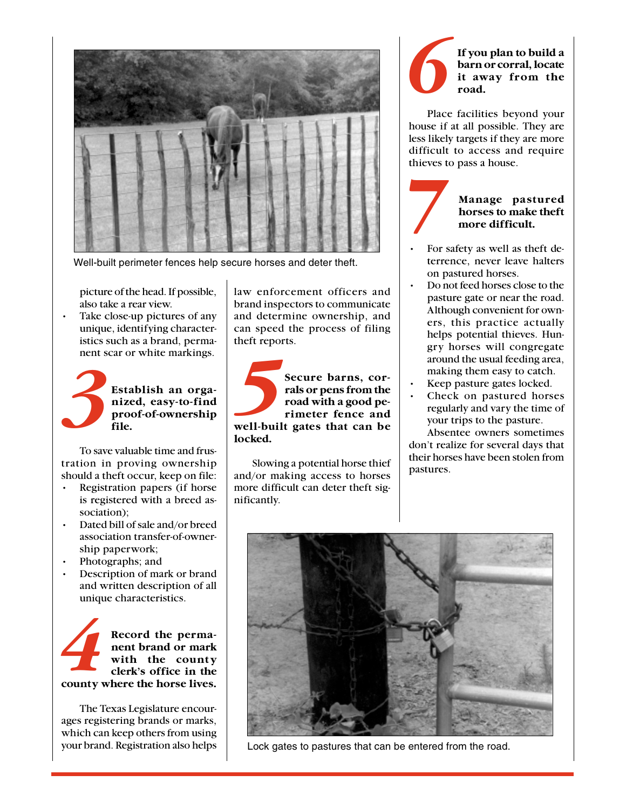

Well-built perimeter fences help secure horses and deter theft.

picture of the head. If possible, also take a rear view.

Take close-up pictures of any unique, identifying characteristics such as a brand, permanent scar or white markings.

*3* **Establish an organized, easy-to-find proof-of-ownership file.**

To save valuable time and frustration in proving ownership should a theft occur, keep on file:

- Registration papers (if horse is registered with a breed association);
- Dated bill of sale and/or breed association transfer-of-ownership paperwork;
- Photographs; and
- Description of mark or brand and written description of all unique characteristics.

**Example 18 Record the permanent brand or mark**<br>with the county<br>clerk's office in the<br>county where the horse lives. **Record the permanent brand or mark with the county clerk's office in the**

The Texas Legislature encourages registering brands or marks, which can keep others from using your brand. Registration also helps

law enforcement officers and brand inspectors to communicate and determine ownership, and can speed the process of filing theft reports.

**Secure barns, cor-<br>rals or pens from the**<br>road with a good pe-<br>rimeter fence and<br>well-built gates that can be **Secure barns, corrals or pens from the road with a good perimeter fence and locked.**

Slowing a potential horse thief and/or making access to horses more difficult can deter theft significantly.

## *6* **If you plan to build a barn or corral, locate it away from the road.**

Place facilities beyond your house if at all possible. They are less likely targets if they are more difficult to access and require thieves to pass a house.

## *7*

## **Manage pastured horses to make theft more difficult.**

- For safety as well as theft deterrence, never leave halters on pastured horses.
- Do not feed horses close to the pasture gate or near the road. Although convenient for owners, this practice actually helps potential thieves. Hungry horses will congregate around the usual feeding area, making them easy to catch.
- Keep pasture gates locked.
- Check on pastured horses regularly and vary the time of your trips to the pasture.

Absentee owners sometimes don't realize for several days that their horses have been stolen from pastures.



Lock gates to pastures that can be entered from the road.